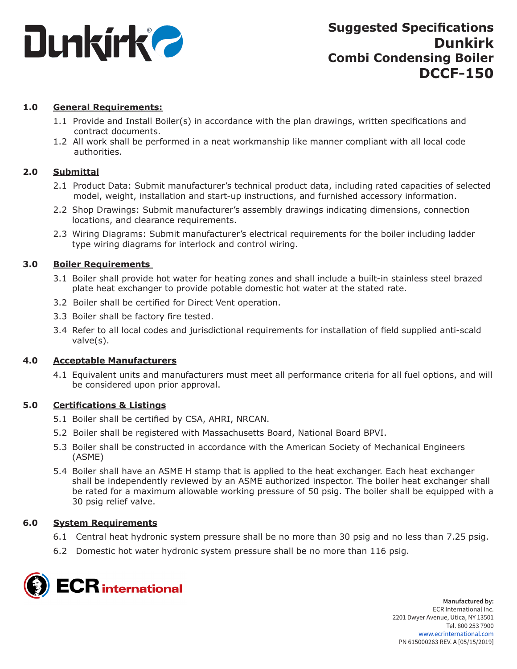

## **1.0 General Requirements:**

- 1.1 Provide and Install Boiler(s) in accordance with the plan drawings, written specifications and contract documents.
- 1.2 All work shall be performed in a neat workmanship like manner compliant with all local code authorities.

## **2.0 Submittal**

- 2.1 Product Data: Submit manufacturer's technical product data, including rated capacities of selected model, weight, installation and start-up instructions, and furnished accessory information.
- 2.2 Shop Drawings: Submit manufacturer's assembly drawings indicating dimensions, connection locations, and clearance requirements.
- 2.3 Wiring Diagrams: Submit manufacturer's electrical requirements for the boiler including ladder type wiring diagrams for interlock and control wiring.

## **3.0 Boiler Requirements**

- 3.1 Boiler shall provide hot water for heating zones and shall include a built-in stainless steel brazed plate heat exchanger to provide potable domestic hot water at the stated rate.
- 3.2 Boiler shall be certified for Direct Vent operation.
- 3.3 Boiler shall be factory fire tested.
- 3.4 Refer to all local codes and jurisdictional requirements for installation of field supplied anti-scald valve(s).

## **4.0 Acceptable Manufacturers**

4.1 Equivalent units and manufacturers must meet all performance criteria for all fuel options, and will be considered upon prior approval.

## **5.0 Certifications & Listings**

- 5.1 Boiler shall be certified by CSA, AHRI, NRCAN.
- 5.2 Boiler shall be registered with Massachusetts Board, National Board BPVI.
- 5.3 Boiler shall be constructed in accordance with the American Society of Mechanical Engineers (ASME)
- 5.4 Boiler shall have an ASME H stamp that is applied to the heat exchanger. Each heat exchanger shall be independently reviewed by an ASME authorized inspector. The boiler heat exchanger shall be rated for a maximum allowable working pressure of 50 psig. The boiler shall be equipped with a 30 psig relief valve.

## **6.0 System Requirements**

- 6.1 Central heat hydronic system pressure shall be no more than 30 psig and no less than 7.25 psig.
- 6.2 Domestic hot water hydronic system pressure shall be no more than 116 psig.

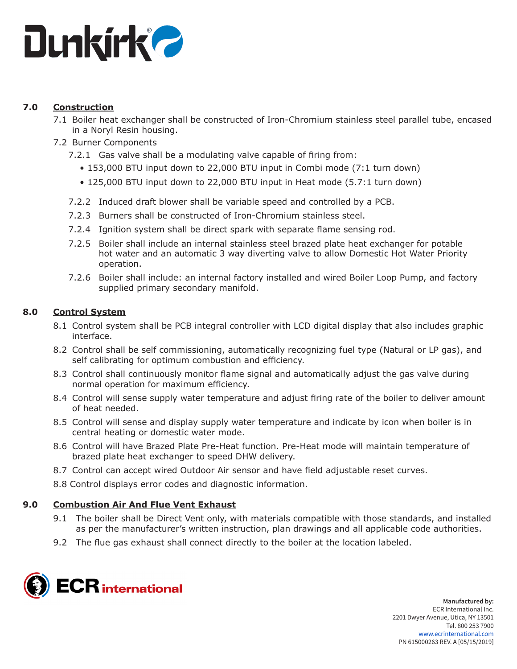

## **7.0 Construction**

- 7.1 Boiler heat exchanger shall be constructed of Iron-Chromium stainless steel parallel tube, encased in a Noryl Resin housing.
- 7.2 Burner Components
	- 7.2.1 Gas valve shall be a modulating valve capable of firing from:
		- 153,000 BTU input down to 22,000 BTU input in Combi mode (7:1 turn down)
		- 125,000 BTU input down to 22,000 BTU input in Heat mode (5.7:1 turn down)
	- 7.2.2 Induced draft blower shall be variable speed and controlled by a PCB.
	- 7.2.3 Burners shall be constructed of Iron-Chromium stainless steel.
	- 7.2.4 Ignition system shall be direct spark with separate flame sensing rod.
	- 7.2.5 Boiler shall include an internal stainless steel brazed plate heat exchanger for potable hot water and an automatic 3 way diverting valve to allow Domestic Hot Water Priority operation.
	- 7.2.6 Boiler shall include: an internal factory installed and wired Boiler Loop Pump, and factory supplied primary secondary manifold.

# **8.0 Control System**

- 8.1 Control system shall be PCB integral controller with LCD digital display that also includes graphic interface.
- 8.2 Control shall be self commissioning, automatically recognizing fuel type (Natural or LP gas), and self calibrating for optimum combustion and efficiency.
- 8.3 Control shall continuously monitor flame signal and automatically adjust the gas valve during normal operation for maximum efficiency.
- 8.4 Control will sense supply water temperature and adjust firing rate of the boiler to deliver amount of heat needed.
- 8.5 Control will sense and display supply water temperature and indicate by icon when boiler is in central heating or domestic water mode.
- 8.6 Control will have Brazed Plate Pre-Heat function. Pre-Heat mode will maintain temperature of brazed plate heat exchanger to speed DHW delivery.
- 8.7 Control can accept wired Outdoor Air sensor and have field adjustable reset curves.
- 8.8 Control displays error codes and diagnostic information.

## **9.0 Combustion Air And Flue Vent Exhaust**

- 9.1 The boiler shall be Direct Vent only, with materials compatible with those standards, and installed as per the manufacturer's written instruction, plan drawings and all applicable code authorities.
- 9.2 The flue gas exhaust shall connect directly to the boiler at the location labeled.